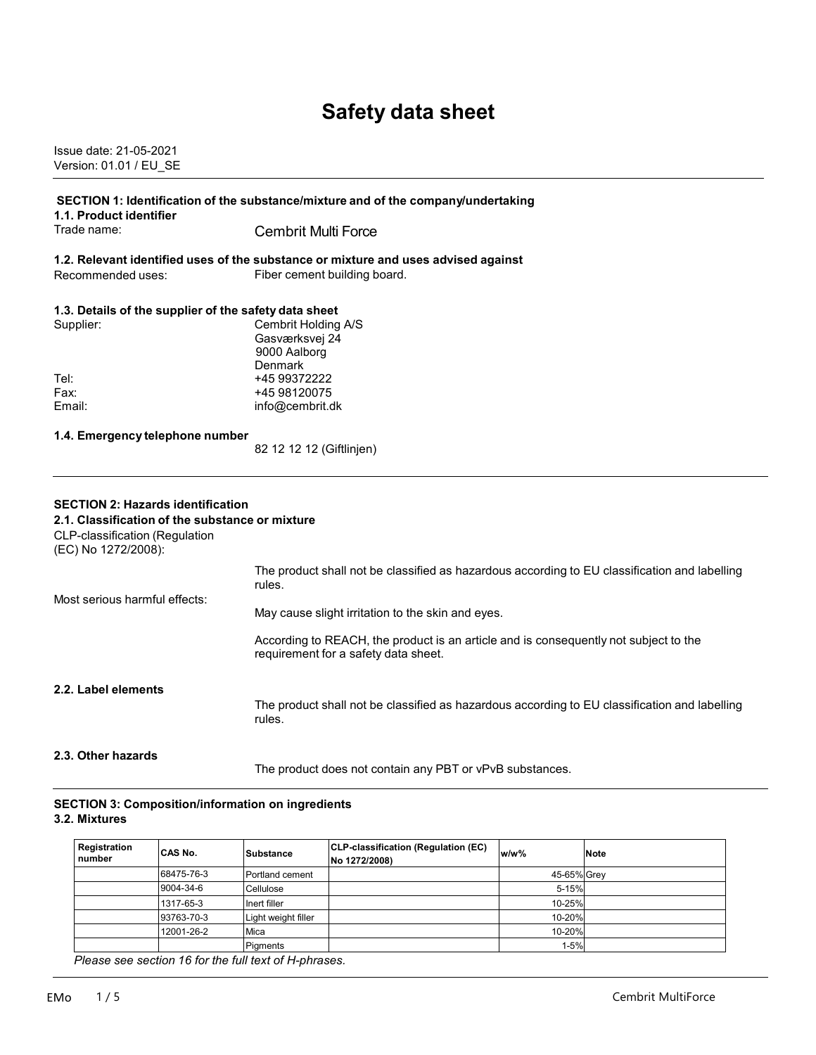# **Safety data sheet**

Issue date: 21-05-2021 Version: 01.01 / EU\_SE

| 1.1. Product identifier                                                                                                                                     | SECTION 1: Identification of the substance/mixture and of the company/undertaking                       |
|-------------------------------------------------------------------------------------------------------------------------------------------------------------|---------------------------------------------------------------------------------------------------------|
| Trade name:                                                                                                                                                 | <b>Cembrit Multi Force</b>                                                                              |
|                                                                                                                                                             | 1.2. Relevant identified uses of the substance or mixture and uses advised against                      |
| Recommended uses:                                                                                                                                           | Fiber cement building board.                                                                            |
| 1.3. Details of the supplier of the safety data sheet                                                                                                       |                                                                                                         |
| Supplier:                                                                                                                                                   | Cembrit Holding A/S<br>Gasværksvej 24<br>9000 Aalborg<br><b>Denmark</b>                                 |
| Tel:                                                                                                                                                        | +45 99372222                                                                                            |
| Fax:                                                                                                                                                        | +45 98120075                                                                                            |
| Email:                                                                                                                                                      | info@cembrit.dk                                                                                         |
| 1.4. Emergency telephone number                                                                                                                             | 82 12 12 12 (Giftlinjen)                                                                                |
| <b>SECTION 2: Hazards identification</b><br>2.1. Classification of the substance or mixture<br><b>CLP-classification (Regulation</b><br>(EC) No 1272/2008): | The product shall not be classified as hazardous according to EU classification and labelling           |
| Most serious harmful effects:                                                                                                                               | rules.                                                                                                  |
|                                                                                                                                                             | May cause slight irritation to the skin and eyes.                                                       |
|                                                                                                                                                             | According to REACH, the product is an article and is consequently not subject to the                    |
|                                                                                                                                                             | requirement for a safety data sheet.                                                                    |
| 2.2. Label elements                                                                                                                                         | The product shall not be classified as hazardous according to EU classification and labelling<br>rules. |

#### **SECTION 3: Composition/information on ingredients 3.2. Mixtures**

| ICAS No.   | Substance           | CLP-classification (Regulation (EC)<br>No 1272/2008) | <b>Note</b>                                                               |
|------------|---------------------|------------------------------------------------------|---------------------------------------------------------------------------|
| 68475-76-3 | Portland cement     |                                                      |                                                                           |
| 9004-34-6  | Cellulose           |                                                      |                                                                           |
| 1317-65-3  | Inert filler        |                                                      |                                                                           |
| 93763-70-3 | Light weight filler |                                                      |                                                                           |
| 12001-26-2 | Mica                |                                                      |                                                                           |
|            | <b>Pigments</b>     |                                                      |                                                                           |
|            |                     |                                                      | $w/w$ %<br>45-65% Grey<br>5-15%<br>10-25%<br>10-20%<br>10-20%<br>$1 - 5%$ |

 *Please see section 16 for the full text of H-phrases.*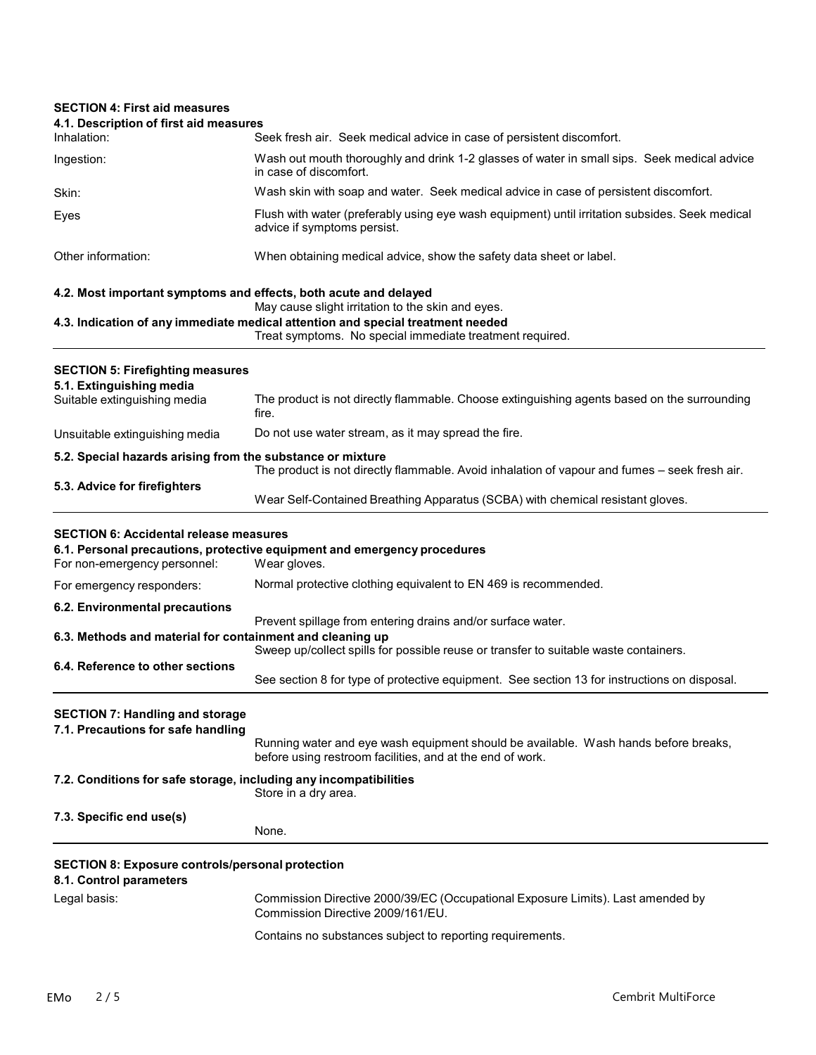## **SECTION 4: First aid measures 4.1. Description of first aid measures** Inhalation: Seek fresh air. Seek medical advice in case of persistent discomfort. Ingestion: Wash out mouth thoroughly and drink 1-2 glasses of water in small sips. Seek medical advice in case of discomfort. Skin: Wash skin with soap and water. Seek medical advice in case of persistent discomfort. Eyes Flush with water (preferably using eye wash equipment) until irritation subsides. Seek medical advice if symptoms persist. Other information: When obtaining medical advice, show the safety data sheet or label. **4.2. Most important symptoms and effects, both acute and delayed** May cause slight irritation to the skin and eyes. **4.3. Indication of any immediate medical attention and special treatment needed** Treat symptoms. No special immediate treatment required. **SECTION 5: Firefighting measures 5.1. Extinguishing media** The product is not directly flammable. Choose extinguishing agents based on the surrounding fire. Unsuitable extinguishing media Do not use water stream, as it may spread the fire. **5.2. Special hazards arising from the substance or mixture** The product is not directly flammable. Avoid inhalation of vapour and fumes – seek fresh air. **5.3. Advice for firefighters** Wear Self-Contained Breathing Apparatus (SCBA) with chemical resistant gloves. **SECTION 6: Accidental release measures 6.1. Personal precautions, protective equipment and emergency procedures** For non-emergency personnel: For emergency responders: Normal protective clothing equivalent to EN 469 is recommended. **6.2. Environmental precautions** Prevent spillage from entering drains and/or surface water. **6.3. Methods and material for containment and cleaning up** Sweep up/collect spills for possible reuse or transfer to suitable waste containers. **6.4. Reference to other sections** See section 8 for type of protective equipment. See section 13 for instructions on disposal. **SECTION 7: Handling and storage 7.1. Precautions for safe handling** Running water and eye wash equipment should be available. Wash hands before breaks, before using restroom facilities, and at the end of work. **7.2. Conditions for safe storage, including any incompatibilities** Store in a dry area. **7.3. Specific end use(s)** None. **SECTION 8: Exposure controls/personal protection 8.1. Control parameters** Legal basis: Commission Directive 2000/39/EC (Occupational Exposure Limits). Last amended by Commission Directive 2009/161/EU. Contains no substances subject to reporting requirements.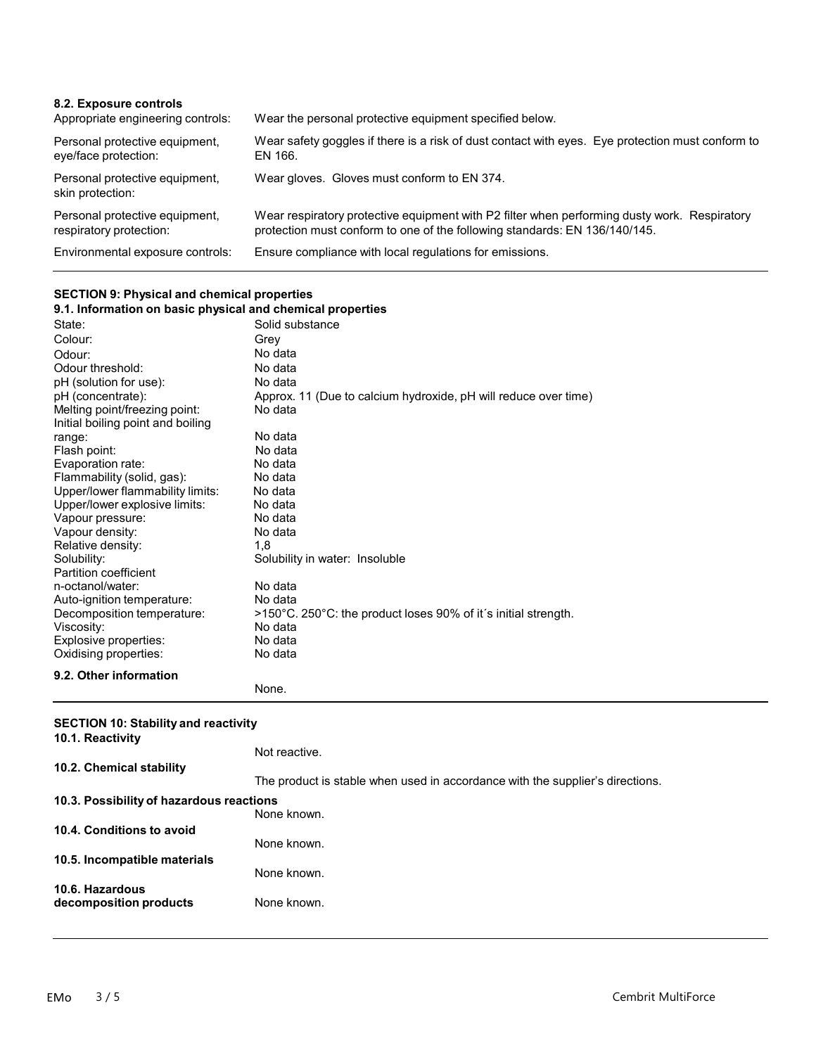| 8.2. Exposure controls<br>Appropriate engineering controls: | Wear the personal protective equipment specified below.                                                                                                                    |
|-------------------------------------------------------------|----------------------------------------------------------------------------------------------------------------------------------------------------------------------------|
| Personal protective equipment,<br>eye/face protection:      | Wear safety goggles if there is a risk of dust contact with eyes. Eye protection must conform to<br>EN 166.                                                                |
| Personal protective equipment,<br>skin protection:          | Wear gloves. Gloves must conform to EN 374.                                                                                                                                |
| Personal protective equipment,<br>respiratory protection:   | Wear respiratory protective equipment with P2 filter when performing dusty work. Respiratory<br>protection must conform to one of the following standards: EN 136/140/145. |
| Environmental exposure controls:                            | Ensure compliance with local regulations for emissions.                                                                                                                    |

## **SECTION 9: Physical and chemical properties**

| 9.1. Information on basic physical and chemical properties |                                                                 |
|------------------------------------------------------------|-----------------------------------------------------------------|
| State:                                                     | Solid substance                                                 |
| Colour:                                                    | Grey                                                            |
| Odour:                                                     | No data                                                         |
| Odour threshold:                                           | No data                                                         |
| pH (solution for use):                                     | No data                                                         |
| pH (concentrate):                                          | Approx. 11 (Due to calcium hydroxide, pH will reduce over time) |
| Melting point/freezing point:                              | No data                                                         |
| Initial boiling point and boiling                          |                                                                 |
| range:                                                     | No data                                                         |
| Flash point:                                               | No data                                                         |
| Evaporation rate:                                          | No data                                                         |
| Flammability (solid, gas):                                 | No data                                                         |
| Upper/lower flammability limits:                           | No data                                                         |
| Upper/lower explosive limits:                              | No data                                                         |
| Vapour pressure:                                           | No data                                                         |
| Vapour density:                                            | No data                                                         |
| Relative density:                                          | 1.8                                                             |
| Solubility:                                                | Solubility in water: Insoluble                                  |
| Partition coefficient                                      |                                                                 |
| n-octanol/water:                                           | No data                                                         |
| Auto-ignition temperature:                                 | No data                                                         |
| Decomposition temperature:                                 | >150°C. 250°C: the product loses 90% of it's initial strength.  |
| Viscosity:                                                 | No data                                                         |
| Explosive properties:                                      | No data                                                         |
| Oxidising properties:                                      | No data                                                         |
| 9.2. Other information                                     |                                                                 |
|                                                            | None.                                                           |

#### **SECTION 10: Stability and reactivity**

| 10.1. Reactivity                          | Not reactive.                                                                 |
|-------------------------------------------|-------------------------------------------------------------------------------|
| 10.2. Chemical stability                  |                                                                               |
| 10.3. Possibility of hazardous reactions  | The product is stable when used in accordance with the supplier's directions. |
|                                           | None known.                                                                   |
| 10.4. Conditions to avoid                 | None known.                                                                   |
| 10.5. Incompatible materials              | None known.                                                                   |
| 10.6. Hazardous<br>decomposition products | None known.                                                                   |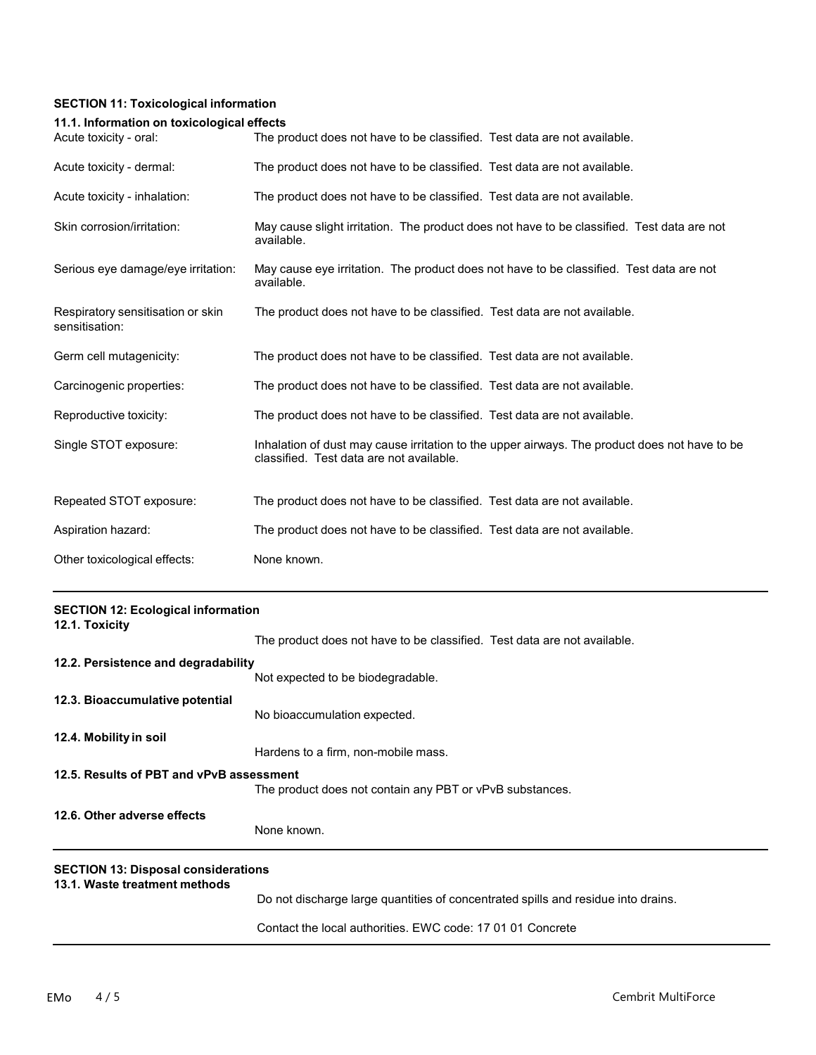### **SECTION 11: Toxicological information**

#### **11.1. Information on toxicological effects**

| Acute toxicity - oral:                              | The product does not have to be classified. Test data are not available.                                                                  |
|-----------------------------------------------------|-------------------------------------------------------------------------------------------------------------------------------------------|
| Acute toxicity - dermal:                            | The product does not have to be classified. Test data are not available.                                                                  |
| Acute toxicity - inhalation:                        | The product does not have to be classified. Test data are not available.                                                                  |
| Skin corrosion/irritation:                          | May cause slight irritation. The product does not have to be classified. Test data are not<br>available.                                  |
| Serious eye damage/eye irritation:                  | May cause eye irritation. The product does not have to be classified. Test data are not<br>available.                                     |
| Respiratory sensitisation or skin<br>sensitisation: | The product does not have to be classified. Test data are not available.                                                                  |
| Germ cell mutagenicity:                             | The product does not have to be classified. Test data are not available.                                                                  |
| Carcinogenic properties:                            | The product does not have to be classified. Test data are not available.                                                                  |
| Reproductive toxicity:                              | The product does not have to be classified. Test data are not available.                                                                  |
| Single STOT exposure:                               | Inhalation of dust may cause irritation to the upper airways. The product does not have to be<br>classified. Test data are not available. |
| Repeated STOT exposure:                             | The product does not have to be classified. Test data are not available.                                                                  |
| Aspiration hazard:                                  | The product does not have to be classified. Test data are not available.                                                                  |
| Other toxicological effects:                        | None known.                                                                                                                               |

| <b>SECTION 12: Ecological information</b><br>12.1. Toxicity                 |                                                                                   |
|-----------------------------------------------------------------------------|-----------------------------------------------------------------------------------|
|                                                                             | The product does not have to be classified. Test data are not available.          |
| 12.2. Persistence and degradability                                         |                                                                                   |
|                                                                             | Not expected to be biodegradable.                                                 |
| 12.3. Bioaccumulative potential                                             |                                                                                   |
|                                                                             | No bioaccumulation expected.                                                      |
| 12.4. Mobility in soil                                                      |                                                                                   |
|                                                                             | Hardens to a firm, non-mobile mass.                                               |
| 12.5. Results of PBT and vPvB assessment                                    |                                                                                   |
|                                                                             | The product does not contain any PBT or vPvB substances.                          |
| 12.6. Other adverse effects                                                 |                                                                                   |
|                                                                             | None known.                                                                       |
| <b>SECTION 13: Disposal considerations</b><br>13.1. Waste treatment methods |                                                                                   |
|                                                                             | Do not discharge large quantities of concentrated spills and residue into drains. |

Contact the local authorities. EWC code: 17 01 01 Concrete